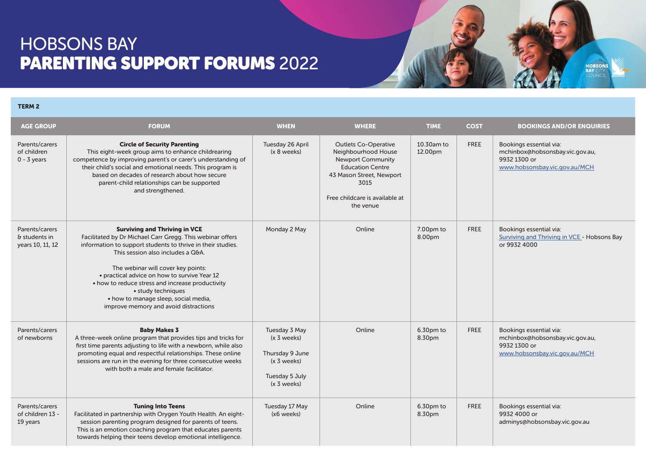## HOBSONS BAY PARENTING SUPPORT FORUMS 2022

## TERM 2

| <b>AGE GROUP</b>                                           | <b>FORUM</b>                                                                                                                                                                                                                                                                                                                                                                                                                                           | <b>WHEN</b>                                                                                         | <b>WHERE</b>                                                                                                                                                                                 | <b>TIME</b>           | <b>COST</b> | <b>BOOKINGS AND/OR ENQUIRIES</b>                                                                            |
|------------------------------------------------------------|--------------------------------------------------------------------------------------------------------------------------------------------------------------------------------------------------------------------------------------------------------------------------------------------------------------------------------------------------------------------------------------------------------------------------------------------------------|-----------------------------------------------------------------------------------------------------|----------------------------------------------------------------------------------------------------------------------------------------------------------------------------------------------|-----------------------|-------------|-------------------------------------------------------------------------------------------------------------|
| Parents/carers<br>of children<br>$0 - 3$ years             | <b>Circle of Security Parenting</b><br>This eight-week group aims to enhance childrearing<br>competence by improving parent's or carer's understanding of<br>their child's social and emotional needs. This program is<br>based on decades of research about how secure<br>parent-child relationships can be supported<br>and strengthened.                                                                                                            | Tuesday 26 April<br>$(x 8$ weeks)                                                                   | <b>Outlets Co-Operative</b><br>Neighbourhood House<br><b>Newport Community</b><br><b>Education Centre</b><br>43 Mason Street, Newport<br>3015<br>Free childcare is available at<br>the venue | 10.30am to<br>12.00pm | <b>FREE</b> | Bookings essential via:<br>mchinbox@hobsonsbay.vic.gov.au,<br>9932 1300 or<br>www.hobsonsbay.vic.gov.au/MCH |
| Parents/carers<br>$\delta$ students in<br>years 10, 11, 12 | <b>Surviving and Thriving in VCE</b><br>Facilitated by Dr Michael Carr Gregg. This webinar offers<br>information to support students to thrive in their studies.<br>This session also includes a Q&A.<br>The webinar will cover key points:<br>• practical advice on how to survive Year 12<br>• how to reduce stress and increase productivity<br>• study techniques<br>• how to manage sleep, social media,<br>improve memory and avoid distractions | Monday 2 May                                                                                        | Online                                                                                                                                                                                       | $7.00pm$ to<br>8.00pm | <b>FREE</b> | Bookings essential via:<br>Surviving and Thriving in VCE - Hobsons Bay<br>or 9932 4000                      |
| Parents/carers<br>of newborns                              | <b>Baby Makes 3</b><br>A three-week online program that provides tips and tricks for<br>first time parents adjusting to life with a newborn, while also<br>promoting equal and respectful relationships. These online<br>sessions are run in the evening for three consecutive weeks<br>with both a male and female facilitator.                                                                                                                       | Tuesday 3 May<br>$(x 3$ weeks)<br>Thursday 9 June<br>(x 3 weeks)<br>Tuesday 5 July<br>$(x 3$ weeks) | Online                                                                                                                                                                                       | 6.30pm to<br>8.30pm   | <b>FREE</b> | Bookings essential via:<br>mchinbox@hobsonsbay.vic.gov.au,<br>9932 1300 or<br>www.hobsonsbay.vic.gov.au/MCH |
| Parents/carers<br>of children 13 -<br>19 years             | <b>Tuning Into Teens</b><br>Facilitated in partnership with Orygen Youth Health. An eight-<br>session parenting program designed for parents of teens.<br>This is an emotion coaching program that educates parents<br>towards helping their teens develop emotional intelligence.                                                                                                                                                                     | Tuesday 17 May<br>(x6 weeks)                                                                        | Online                                                                                                                                                                                       | 6.30pm to<br>8.30pm   | <b>FREE</b> | Bookings essential via:<br>9932 4000 or<br>adminys@hobsonsbay.vic.gov.au                                    |

**HOBSON**<br>BAY CITY